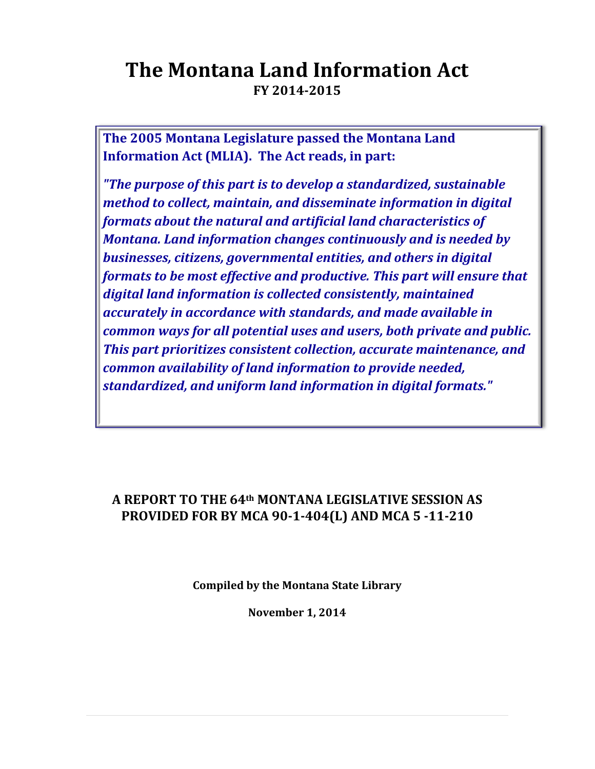# **The Montana Land Information Act FY 2014-2015**

**The 2005 Montana Legislature passed the Montana Land Information Act (MLIA). The Act reads, in part:** 

*"The purpose of this part is to develop a standardized, sustainable method to collect, maintain, and disseminate information in digital formats about the natural and artificial land characteristics of Montana. Land information changes continuously and is needed by businesses, citizens, governmental entities, and others in digital formats to be most effective and productive. This part will ensure that digital land information is collected consistently, maintained accurately in accordance with standards, and made available in common ways for all potential uses and users, both private and public. This part prioritizes consistent collection, accurate maintenance, and common availability of land information to provide needed, standardized, and uniform land information in digital formats."*

#### **A REPORT TO THE 64th MONTANA LEGISLATIVE SESSION AS PROVIDED FOR BY MCA 90-1-404(L) AND MCA 5 -11-210**

**Compiled by the Montana State Library**

**November 1, 2014**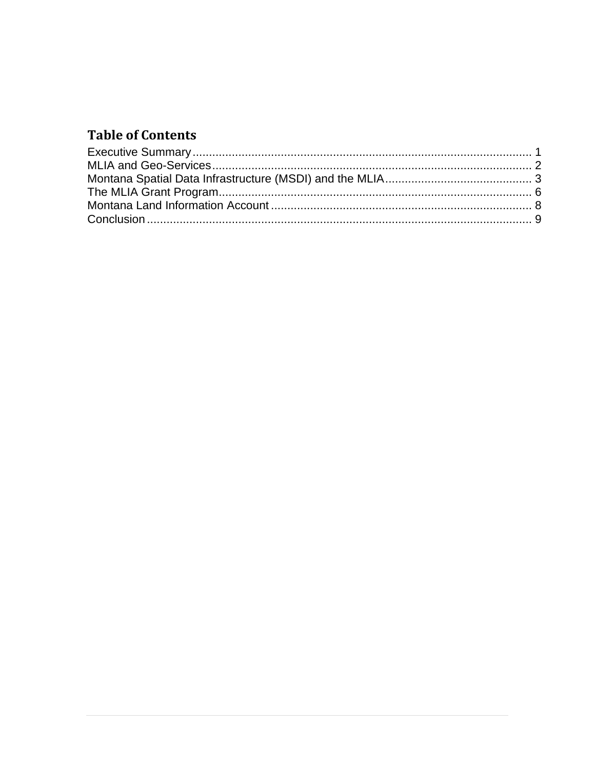## **Table of Contents**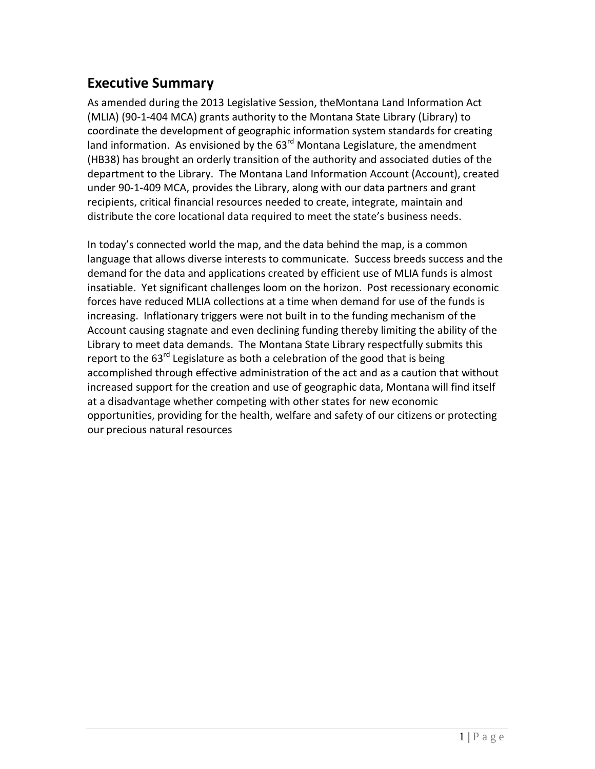#### <span id="page-2-0"></span>**Executive Summary**

As amended during the 2013 Legislative Session, theMontana Land Information Act (MLIA) (90-1-404 MCA) grants authority to the Montana State Library (Library) to coordinate the development of geographic information system standards for creating land information. As envisioned by the  $63<sup>rd</sup>$  Montana Legislature, the amendment (HB38) has brought an orderly transition of the authority and associated duties of the department to the Library. The Montana Land Information Account (Account), created under 90-1-409 MCA, provides the Library, along with our data partners and grant recipients, critical financial resources needed to create, integrate, maintain and distribute the core locational data required to meet the state's business needs.

In today's connected world the map, and the data behind the map, is a common language that allows diverse interests to communicate. Success breeds success and the demand for the data and applications created by efficient use of MLIA funds is almost insatiable. Yet significant challenges loom on the horizon. Post recessionary economic forces have reduced MLIA collections at a time when demand for use of the funds is increasing. Inflationary triggers were not built in to the funding mechanism of the Account causing stagnate and even declining funding thereby limiting the ability of the Library to meet data demands. The Montana State Library respectfully submits this report to the  $63^{rd}$  Legislature as both a celebration of the good that is being accomplished through effective administration of the act and as a caution that without increased support for the creation and use of geographic data, Montana will find itself at a disadvantage whether competing with other states for new economic opportunities, providing for the health, welfare and safety of our citizens or protecting our precious natural resources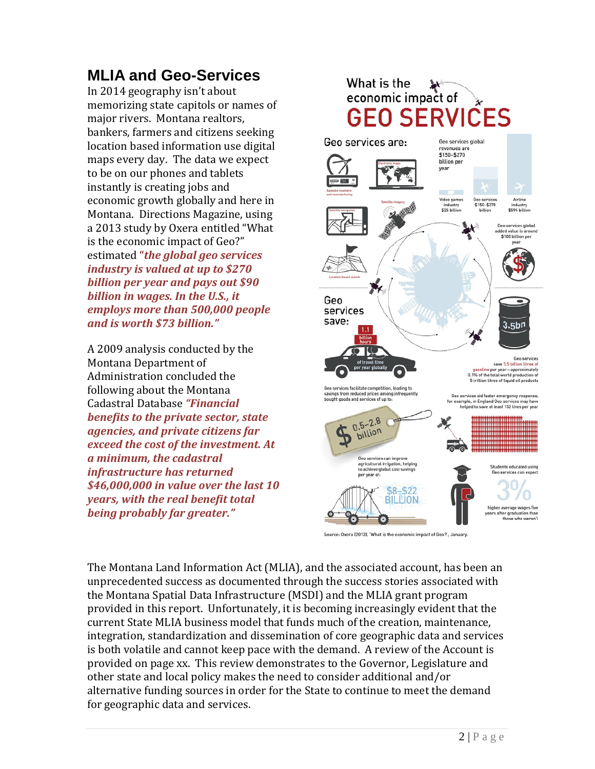## <span id="page-3-0"></span>**MLIA and Geo-Services**

In 2014 geography isn't about memorizing state capitols or names of major rivers. Montana realtors, bankers, farmers and citizens seeking location based information use digital maps every day. The data we expect to be on our phones and tablets instantly is creating jobs and economic growth globally and here in Montana. Directions Magazine, using a 2013 study by Oxera entitled "What is the economic impact of Geo?" estimated **"***the global geo services industry is valued at up to \$270 billion per year and pays out \$90 billion in wages. In the U.S., it employs more than 500,000 people and is worth \$73 billion."*

A 2009 analysis conducted by the Montana Department of Administration concluded the following about the Montana Cadastral Database *"Financial benefits to the private sector, state agencies, and private citizens far exceed the cost of the investment. At a minimum, the cadastral infrastructure has returned \$46,000,000 in value over the last 10 years, with the real benefit total being probably far greater."*



Source: Oxera (2013), 'What is the economic impact of Geo?', January.

The Montana Land Information Act (MLIA), and the associated account, has been an unprecedented success as documented through the success stories associated with the Montana Spatial Data Infrastructure (MSDI) and the MLIA grant program provided in this report. Unfortunately, it is becoming increasingly evident that the current State MLIA business model that funds much of the creation, maintenance, integration, standardization and dissemination of core geographic data and services is both volatile and cannot keep pace with the demand. A review of the Account is provided on page xx. This review demonstrates to the Governor, Legislature and other state and local policy makes the need to consider additional and/or alternative funding sources in order for the State to continue to meet the demand for geographic data and services.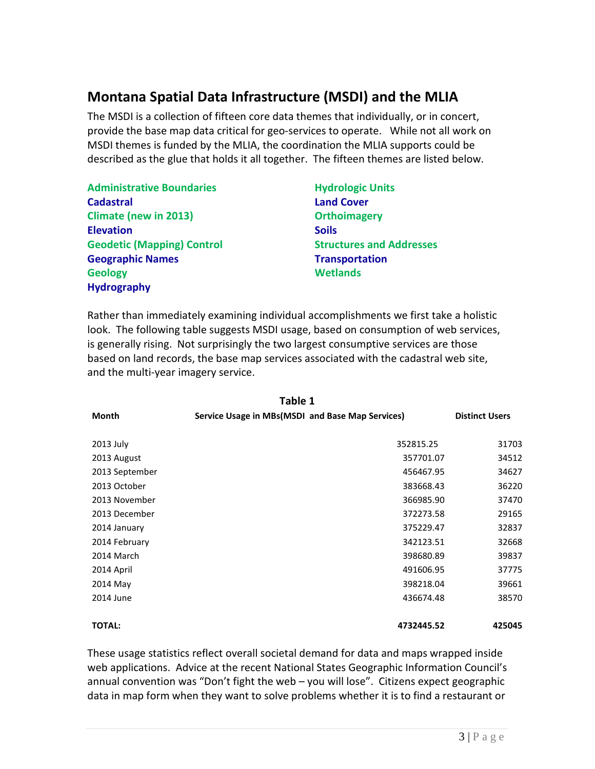#### <span id="page-4-0"></span>**Montana Spatial Data Infrastructure (MSDI) and the MLIA**

The MSDI is a collection of fifteen core data themes that individually, or in concert, provide the base map data critical for geo-services to operate. While not all work on MSDI themes is funded by the MLIA, the coordination the MLIA supports could be described as the glue that holds it all together. The fifteen themes are listed below.

| <b>Administrative Boundaries</b>  | <b>Hydrologic Units</b>         |  |
|-----------------------------------|---------------------------------|--|
| <b>Cadastral</b>                  | <b>Land Cover</b>               |  |
| <b>Climate (new in 2013)</b>      | <b>Orthoimagery</b>             |  |
| <b>Elevation</b>                  | <b>Soils</b>                    |  |
| <b>Geodetic (Mapping) Control</b> | <b>Structures and Addresses</b> |  |
| <b>Geographic Names</b>           | <b>Transportation</b>           |  |
| <b>Geology</b>                    | <b>Wetlands</b>                 |  |
| <b>Hydrography</b>                |                                 |  |

Rather than immediately examining individual accomplishments we first take a holistic look. The following table suggests MSDI usage, based on consumption of web services, is generally rising. Not surprisingly the two largest consumptive services are those based on land records, the base map services associated with the cadastral web site, and the multi-year imagery service.

| Table 1        |                                                  |                       |  |  |  |
|----------------|--------------------------------------------------|-----------------------|--|--|--|
| Month          | Service Usage in MBs(MSDI and Base Map Services) | <b>Distinct Users</b> |  |  |  |
|                | 352815.25                                        | 31703                 |  |  |  |
| 2013 July      |                                                  |                       |  |  |  |
| 2013 August    | 357701.07                                        | 34512                 |  |  |  |
| 2013 September | 456467.95                                        | 34627                 |  |  |  |
| 2013 October   | 383668.43                                        | 36220                 |  |  |  |
| 2013 November  | 366985.90                                        | 37470                 |  |  |  |
| 2013 December  | 372273.58                                        | 29165                 |  |  |  |
| 2014 January   | 375229.47                                        | 32837                 |  |  |  |
| 2014 February  | 342123.51                                        | 32668                 |  |  |  |
| 2014 March     | 398680.89                                        | 39837                 |  |  |  |
| 2014 April     | 491606.95                                        | 37775                 |  |  |  |
| 2014 May       | 398218.04                                        | 39661                 |  |  |  |
| 2014 June      | 436674.48                                        | 38570                 |  |  |  |
| <b>TOTAL:</b>  | 4732445.52                                       | 425045                |  |  |  |

These usage statistics reflect overall societal demand for data and maps wrapped inside web applications. Advice at the recent National States Geographic Information Council's annual convention was "Don't fight the web – you will lose". Citizens expect geographic data in map form when they want to solve problems whether it is to find a restaurant or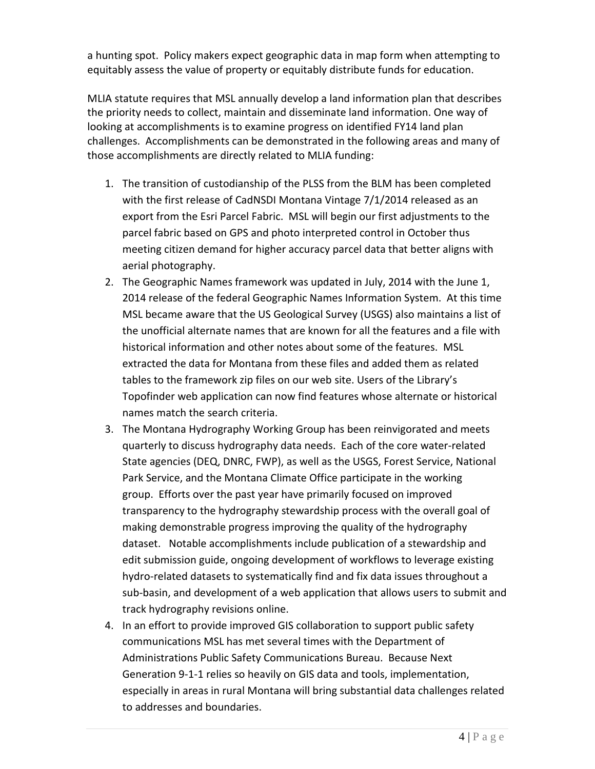a hunting spot. Policy makers expect geographic data in map form when attempting to equitably assess the value of property or equitably distribute funds for education.

MLIA statute requires that MSL annually develop a land information plan that describes the priority needs to collect, maintain and disseminate land information. One way of looking at accomplishments is to examine progress on identified FY14 land plan challenges. Accomplishments can be demonstrated in the following areas and many of those accomplishments are directly related to MLIA funding:

- 1. The transition of custodianship of the PLSS from the BLM has been completed with the first release of CadNSDI Montana Vintage 7/1/2014 released as an export from the Esri Parcel Fabric. MSL will begin our first adjustments to the parcel fabric based on GPS and photo interpreted control in October thus meeting citizen demand for higher accuracy parcel data that better aligns with aerial photography.
- 2. The Geographic Names framework was updated in July, 2014 with the June 1, 2014 release of the federal Geographic Names Information System. At this time MSL became aware that the US Geological Survey (USGS) also maintains a list of the unofficial alternate names that are known for all the features and a file with historical information and other notes about some of the features. MSL extracted the data for Montana from these files and added them as related tables to the framework zip files on our web site. Users of the Library's Topofinder web application can now find features whose alternate or historical names match the search criteria.
- 3. The Montana Hydrography Working Group has been reinvigorated and meets quarterly to discuss hydrography data needs. Each of the core water-related State agencies (DEQ, DNRC, FWP), as well as the USGS, Forest Service, National Park Service, and the Montana Climate Office participate in the working group. Efforts over the past year have primarily focused on improved transparency to the hydrography stewardship process with the overall goal of making demonstrable progress improving the quality of the hydrography dataset. Notable accomplishments include publication of a stewardship and edit submission guide, ongoing development of workflows to leverage existing hydro-related datasets to systematically find and fix data issues throughout a sub-basin, and development of a web application that allows users to submit and track hydrography revisions online.
- 4. In an effort to provide improved GIS collaboration to support public safety communications MSL has met several times with the Department of Administrations Public Safety Communications Bureau. Because Next Generation 9-1-1 relies so heavily on GIS data and tools, implementation, especially in areas in rural Montana will bring substantial data challenges related to addresses and boundaries.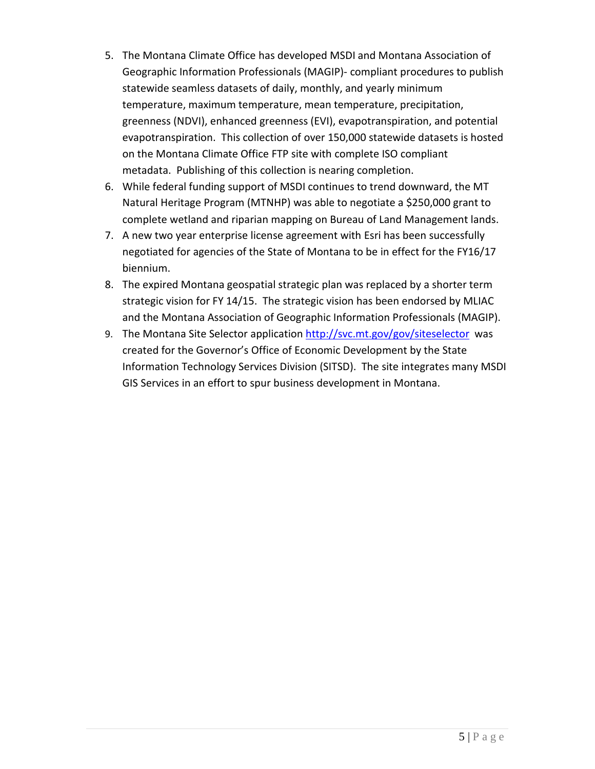- 5. The Montana Climate Office has developed MSDI and Montana Association of Geographic Information Professionals (MAGIP)- compliant procedures to publish statewide seamless datasets of daily, monthly, and yearly minimum temperature, maximum temperature, mean temperature, precipitation, greenness (NDVI), enhanced greenness (EVI), evapotranspiration, and potential evapotranspiration. This collection of over 150,000 statewide datasets is hosted on the Montana Climate Office FTP site with complete ISO compliant metadata. Publishing of this collection is nearing completion.
- 6. While federal funding support of MSDI continues to trend downward, the MT Natural Heritage Program (MTNHP) was able to negotiate a \$250,000 grant to complete wetland and riparian mapping on Bureau of Land Management lands.
- 7. A new two year enterprise license agreement with Esri has been successfully negotiated for agencies of the State of Montana to be in effect for the FY16/17 biennium.
- 8. The expired Montana geospatial strategic plan was replaced by a shorter term strategic vision for FY 14/15. The strategic vision has been endorsed by MLIAC and the Montana Association of Geographic Information Professionals (MAGIP).
- 9. The Montana Site Selector application<http://svc.mt.gov/gov/siteselector>was created for the Governor's Office of Economic Development by the State Information Technology Services Division (SITSD). The site integrates many MSDI GIS Services in an effort to spur business development in Montana.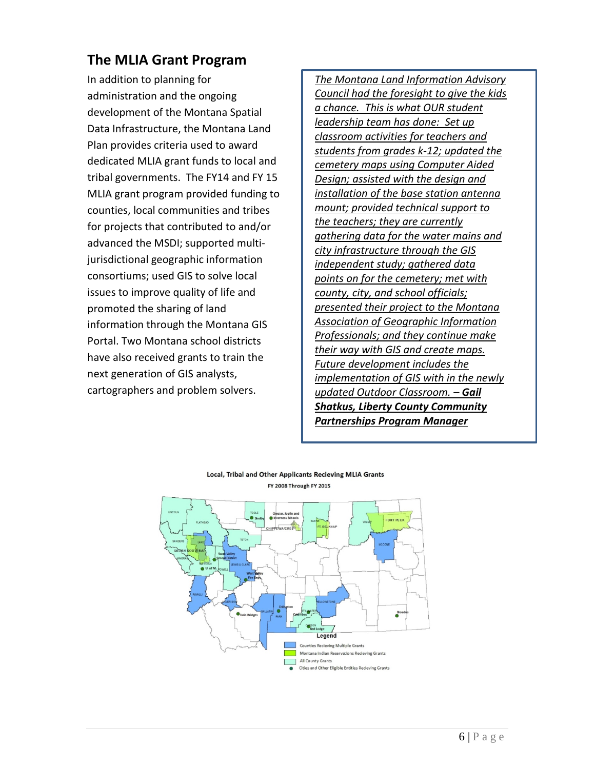## <span id="page-7-0"></span>**The MLIA Grant Program**

In addition to planning for administration and the ongoing development of the Montana Spatial Data Infrastructure, the Montana Land Plan provides criteria used to award dedicated MLIA grant funds to local and tribal governments. The FY14 and FY 15 MLIA grant program provided funding to counties, local communities and tribes for projects that contributed to and/or advanced the MSDI; supported multijurisdictional geographic information consortiums; used GIS to solve local issues to improve quality of life and promoted the sharing of land information through the Montana GIS Portal. Two Montana school districts have also received grants to train the next generation of GIS analysts, cartographers and problem solvers.

*The Montana Land Information Advisory Council had the foresight to give the kids a chance. This is what OUR student leadership team has done: Set up classroom activities for teachers and students from grades k-12; updated the cemetery maps using Computer Aided Design; assisted with the design and installation of the base station antenna mount; provided technical support to the teachers; they are currently gathering data for the water mains and city infrastructure through the GIS independent study; gathered data points on for the cemetery; met with county, city, and school officials; presented their project to the Montana Association of Geographic Information Professionals; and they continue make their way with GIS and create maps. Future development includes the implementation of GIS with in the newly updated Outdoor Classroom. – Gail Shatkus, Liberty County Community Partnerships Program Manager*



#### Local, Tribal and Other Applicants Recieving MLIA Grants **FY 2008 Through FY 2015**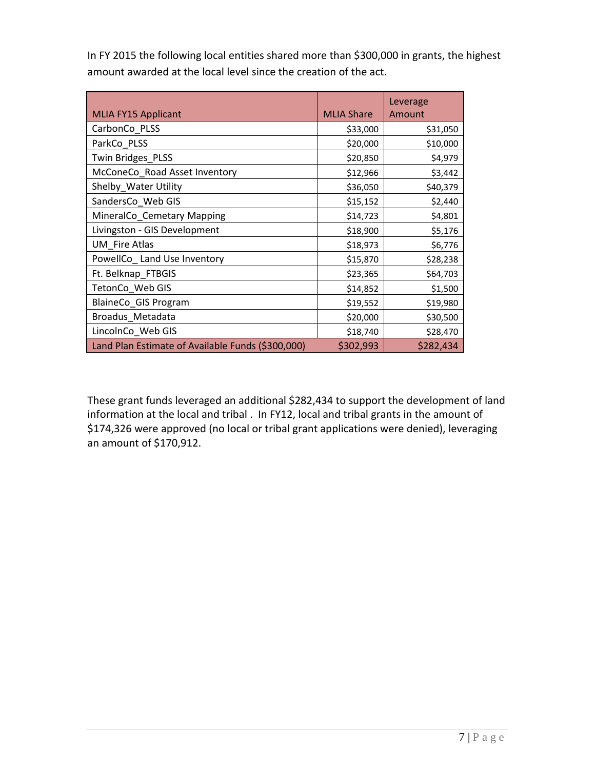In FY 2015 the following local entities shared more than \$300,000 in grants, the highest amount awarded at the local level since the creation of the act.

| <b>MLIA FY15 Applicant</b>                        | <b>MLIA Share</b> | Leverage<br>Amount |
|---------------------------------------------------|-------------------|--------------------|
| CarbonCo_PLSS                                     | \$33,000          | \$31,050           |
| ParkCo PLSS                                       | \$20,000          | \$10,000           |
| Twin Bridges PLSS                                 | \$20,850          | \$4,979            |
| McConeCo_Road Asset Inventory                     | \$12,966          | \$3,442            |
| Shelby_Water Utility                              | \$36,050          | \$40,379           |
| SandersCo_Web GIS                                 | \$15,152          | \$2,440            |
| MineralCo_Cemetary Mapping                        | \$14,723          | \$4,801            |
| Livingston - GIS Development                      | \$18,900          | \$5,176            |
| <b>UM</b> Fire Atlas                              | \$18,973          | \$6,776            |
| PowellCo_ Land Use Inventory                      | \$15,870          | \$28,238           |
| Ft. Belknap_FTBGIS                                | \$23,365          | \$64,703           |
| TetonCo_Web GIS                                   | \$14,852          | \$1,500            |
| BlaineCo_GIS Program                              | \$19,552          | \$19,980           |
| Broadus_Metadata                                  | \$20,000          | \$30,500           |
| LincolnCo_Web GIS                                 | \$18,740          | \$28,470           |
| Land Plan Estimate of Available Funds (\$300,000) | \$302,993         | \$282,434          |

These grant funds leveraged an additional \$282,434 to support the development of land information at the local and tribal . In FY12, local and tribal grants in the amount of \$174,326 were approved (no local or tribal grant applications were denied), leveraging an amount of \$170,912.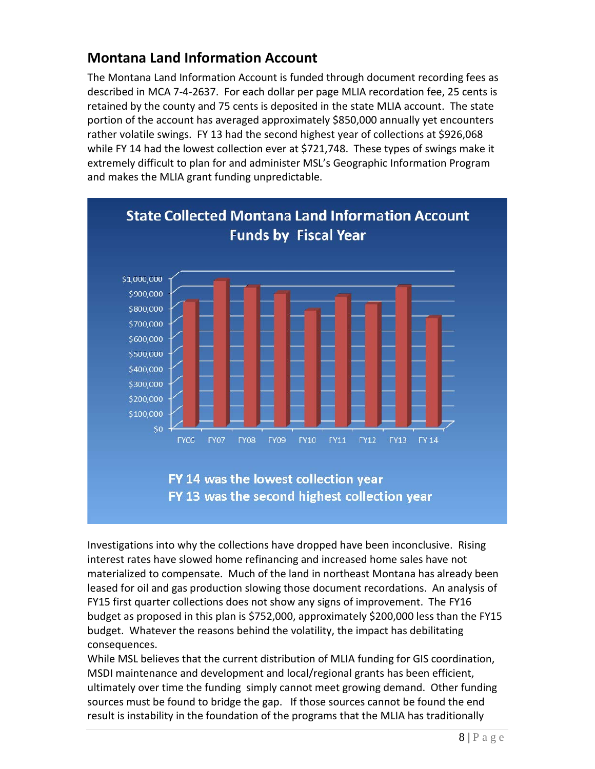#### <span id="page-9-0"></span>**Montana Land Information Account**

The Montana Land Information Account is funded through document recording fees as described in MCA 7-4-2637. For each dollar per page MLIA recordation fee, 25 cents is retained by the county and 75 cents is deposited in the state MLIA account. The state portion of the account has averaged approximately \$850,000 annually yet encounters rather volatile swings. FY 13 had the second highest year of collections at \$926,068 while FY 14 had the lowest collection ever at \$721,748. These types of swings make it extremely difficult to plan for and administer MSL's Geographic Information Program and makes the MLIA grant funding unpredictable.



Investigations into why the collections have dropped have been inconclusive. Rising interest rates have slowed home refinancing and increased home sales have not materialized to compensate. Much of the land in northeast Montana has already been leased for oil and gas production slowing those document recordations. An analysis of FY15 first quarter collections does not show any signs of improvement. The FY16 budget as proposed in this plan is \$752,000, approximately \$200,000 less than the FY15 budget. Whatever the reasons behind the volatility, the impact has debilitating consequences.

While MSL believes that the current distribution of MLIA funding for GIS coordination, MSDI maintenance and development and local/regional grants has been efficient, ultimately over time the funding simply cannot meet growing demand. Other funding sources must be found to bridge the gap. If those sources cannot be found the end result is instability in the foundation of the programs that the MLIA has traditionally